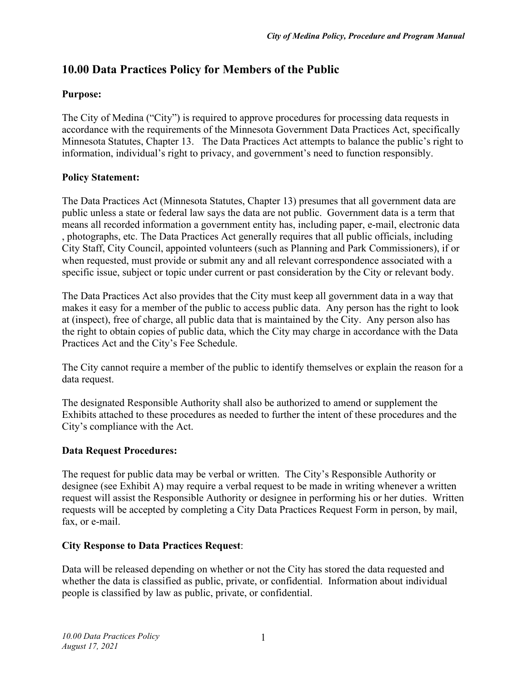# **10.00 Data Practices Policy for Members of the Public**

### **Purpose:**

The City of Medina ("City") is required to approve procedures for processing data requests in accordance with the requirements of the Minnesota Government Data Practices Act, specifically Minnesota Statutes, Chapter 13. The Data Practices Act attempts to balance the public's right to information, individual's right to privacy, and government's need to function responsibly.

### **Policy Statement:**

The Data Practices Act (Minnesota Statutes, Chapter 13) presumes that all government data are public unless a state or federal law says the data are not public. Government data is a term that means all recorded information a government entity has, including paper, e-mail, electronic data , photographs, etc. The Data Practices Act generally requires that all public officials, including City Staff, City Council, appointed volunteers (such as Planning and Park Commissioners), if or when requested, must provide or submit any and all relevant correspondence associated with a specific issue, subject or topic under current or past consideration by the City or relevant body.

The Data Practices Act also provides that the City must keep all government data in a way that makes it easy for a member of the public to access public data. Any person has the right to look at (inspect), free of charge, all public data that is maintained by the City. Any person also has the right to obtain copies of public data, which the City may charge in accordance with the Data Practices Act and the City's Fee Schedule.

The City cannot require a member of the public to identify themselves or explain the reason for a data request.

The designated Responsible Authority shall also be authorized to amend or supplement the Exhibits attached to these procedures as needed to further the intent of these procedures and the City's compliance with the Act.

# **Data Request Procedures:**

The request for public data may be verbal or written. The City's Responsible Authority or designee (see Exhibit A) may require a verbal request to be made in writing whenever a written request will assist the Responsible Authority or designee in performing his or her duties. Written requests will be accepted by completing a City Data Practices Request Form in person, by mail, fax, or e-mail.

#### **City Response to Data Practices Request**:

Data will be released depending on whether or not the City has stored the data requested and whether the data is classified as public, private, or confidential. Information about individual people is classified by law as public, private, or confidential.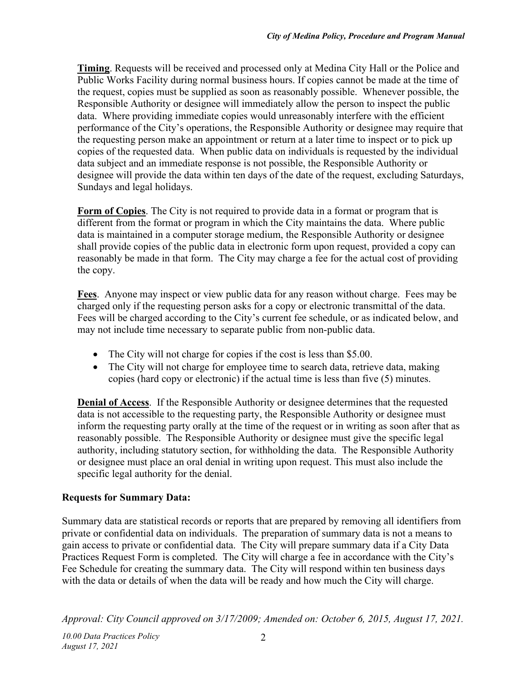**Timing**. Requests will be received and processed only at Medina City Hall or the Police and Public Works Facility during normal business hours. If copies cannot be made at the time of the request, copies must be supplied as soon as reasonably possible. Whenever possible, the Responsible Authority or designee will immediately allow the person to inspect the public data. Where providing immediate copies would unreasonably interfere with the efficient performance of the City's operations, the Responsible Authority or designee may require that the requesting person make an appointment or return at a later time to inspect or to pick up copies of the requested data. When public data on individuals is requested by the individual data subject and an immediate response is not possible, the Responsible Authority or designee will provide the data within ten days of the date of the request, excluding Saturdays, Sundays and legal holidays.

**Form of Copies**. The City is not required to provide data in a format or program that is different from the format or program in which the City maintains the data. Where public data is maintained in a computer storage medium, the Responsible Authority or designee shall provide copies of the public data in electronic form upon request, provided a copy can reasonably be made in that form. The City may charge a fee for the actual cost of providing the copy.

**Fees**. Anyone may inspect or view public data for any reason without charge. Fees may be charged only if the requesting person asks for a copy or electronic transmittal of the data. Fees will be charged according to the City's current fee schedule, or as indicated below, and may not include time necessary to separate public from non-public data.

- The City will not charge for copies if the cost is less than \$5.00.
- The City will not charge for employee time to search data, retrieve data, making copies (hard copy or electronic) if the actual time is less than five (5) minutes.

**Denial of Access**. If the Responsible Authority or designee determines that the requested data is not accessible to the requesting party, the Responsible Authority or designee must inform the requesting party orally at the time of the request or in writing as soon after that as reasonably possible. The Responsible Authority or designee must give the specific legal authority, including statutory section, for withholding the data. The Responsible Authority or designee must place an oral denial in writing upon request. This must also include the specific legal authority for the denial.

# **Requests for Summary Data:**

Summary data are statistical records or reports that are prepared by removing all identifiers from private or confidential data on individuals. The preparation of summary data is not a means to gain access to private or confidential data. The City will prepare summary data if a City Data Practices Request Form is completed. The City will charge a fee in accordance with the City's Fee Schedule for creating the summary data. The City will respond within ten business days with the data or details of when the data will be ready and how much the City will charge.

*Approval: City Council approved on 3/17/2009; Amended on: October 6, 2015, August 17, 2021.*